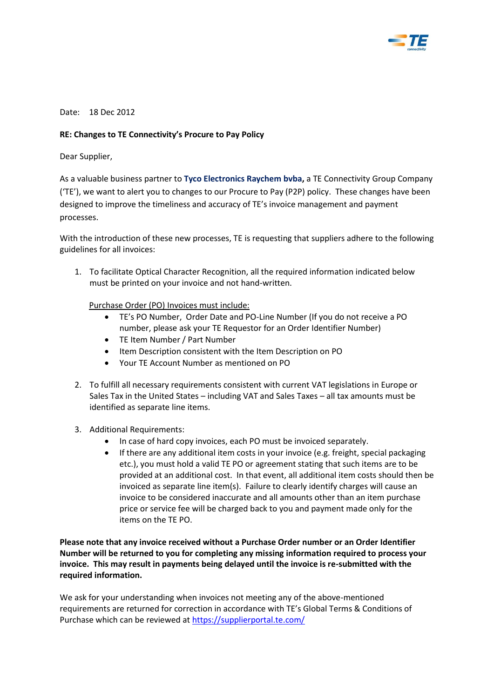

Date: 18 Dec 2012

## **RE: Changes to TE Connectivity's Procure to Pay Policy**

Dear Supplier,

As a valuable business partner to **Tyco Electronics Raychem bvba,** a TE Connectivity Group Company ('TE'), we want to alert you to changes to our Procure to Pay (P2P) policy. These changes have been designed to improve the timeliness and accuracy of TE's invoice management and payment processes.

With the introduction of these new processes, TE is requesting that suppliers adhere to the following guidelines for all invoices:

1. To facilitate Optical Character Recognition, all the required information indicated below must be printed on your invoice and not hand-written.

Purchase Order (PO) Invoices must include:

- TE's PO Number, Order Date and PO-Line Number (If you do not receive a PO number, please ask your TE Requestor for an Order Identifier Number)
- TE Item Number / Part Number
- Item Description consistent with the Item Description on PO
- Your TE Account Number as mentioned on PO
- 2. To fulfill all necessary requirements consistent with current VAT legislations in Europe or Sales Tax in the United States – including VAT and Sales Taxes – all tax amounts must be identified as separate line items.
- 3. Additional Requirements:
	- In case of hard copy invoices, each PO must be invoiced separately.
	- If there are any additional item costs in your invoice (e.g. freight, special packaging etc.), you must hold a valid TE PO or agreement stating that such items are to be provided at an additional cost. In that event, all additional item costs should then be invoiced as separate line item(s). Failure to clearly identify charges will cause an invoice to be considered inaccurate and all amounts other than an item purchase price or service fee will be charged back to you and payment made only for the items on the TE PO.

**Please note that any invoice received without a Purchase Order number or an Order Identifier Number will be returned to you for completing any missing information required to process your invoice. This may result in payments being delayed until the invoice is re-submitted with the required information.** 

We ask for your understanding when invoices not meeting any of the above-mentioned requirements are returned for correction in accordance with TE's Global Terms & Conditions of Purchase which can be reviewed a[t https://supplierportal.te.com/](https://supplierportal.te.com/)